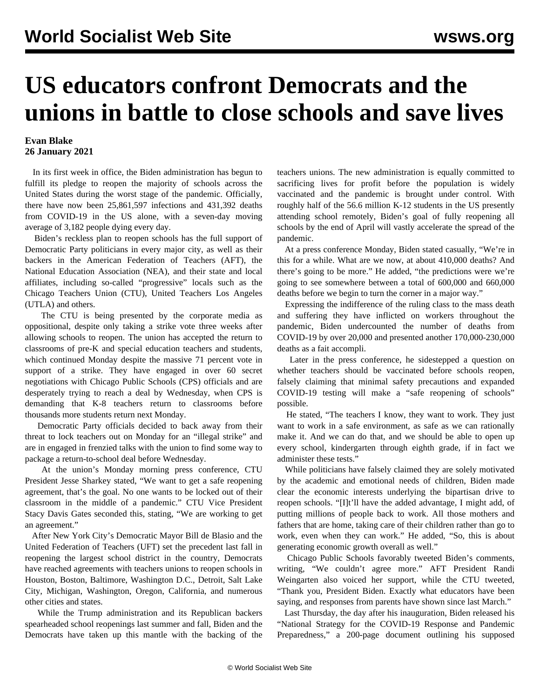## **US educators confront Democrats and the unions in battle to close schools and save lives**

## **Evan Blake 26 January 2021**

 In its first week in office, the Biden administration has begun to fulfill its pledge to reopen the majority of schools across the United States during the worst stage of the pandemic. Officially, there have now been 25,861,597 infections and 431,392 deaths from COVID-19 in the US alone, with a seven-day moving average of 3,182 people dying every day.

 Biden's reckless plan to reopen schools has the full support of Democratic Party politicians in every major city, as well as their backers in the American Federation of Teachers (AFT), the National Education Association (NEA), and their state and local affiliates, including so-called "progressive" locals such as the Chicago Teachers Union (CTU), United Teachers Los Angeles (UTLA) and others.

 The CTU is being presented by the corporate media as oppositional, despite only taking a strike vote three weeks after allowing schools to reopen. The union has accepted the return to classrooms of pre-K and special education teachers and students, which continued Monday despite the [massive 71 percent vote in](/en/articles/2021/01/25/chic-j25.html) [support of a strike](/en/articles/2021/01/25/chic-j25.html). They have engaged in over 60 secret negotiations with Chicago Public Schools (CPS) officials and are desperately trying to reach a deal by Wednesday, when CPS is demanding that K-8 teachers return to classrooms before thousands more students return next Monday.

 Democratic Party officials decided to back away from their threat to lock teachers out on Monday for an "illegal strike" and are in engaged in frenzied talks with the union to find some way to package a return-to-school deal before Wednesday.

 At the union's Monday morning press conference, CTU President Jesse Sharkey stated, "We want to get a safe reopening agreement, that's the goal. No one wants to be locked out of their classroom in the middle of a pandemic." CTU Vice President Stacy Davis Gates seconded this, stating, "We are working to get an agreement."

 After New York City's Democratic Mayor Bill de Blasio and the United Federation of Teachers (UFT) [set the precedent last fall](/en/articles/2020/11/30/pers-n30.html) in reopening the largest school district in the country, Democrats have reached agreements with teachers unions to reopen schools in Houston, Boston, Baltimore, Washington D.C., Detroit, Salt Lake City, Michigan, Washington, Oregon, California, and numerous other cities and states.

 While the Trump administration and its Republican backers spearheaded school reopenings last summer and fall, Biden and the Democrats have taken up this mantle with the backing of the teachers unions. The new administration is equally committed to [sacrificing](/en/articles/2021/01/25/herd-j25.html) lives for profit before the population is widely vaccinated and the pandemic is brought under control. With roughly half of the 56.6 million K-12 students in the US presently attending school remotely, Biden's goal of fully reopening all schools by the end of April will vastly accelerate the spread of the pandemic.

 At a press conference Monday, Biden stated casually, "We're in this for a while. What are we now, at about 410,000 deaths? And there's going to be more." He added, "the predictions were we're going to see somewhere between a total of 600,000 and 660,000 deaths before we begin to turn the corner in a major way."

 Expressing the indifference of the ruling class to the mass death and suffering they have inflicted on workers throughout the pandemic, Biden undercounted the number of deaths from COVID-19 by over 20,000 and presented another 170,000-230,000 deaths as a fait accompli.

 Later in the press conference, he sidestepped a question on whether teachers should be vaccinated before schools reopen, falsely claiming that minimal safety precautions and expanded COVID-19 testing will make a "safe reopening of schools" possible.

 He stated, "The teachers I know, they want to work. They just want to work in a safe environment, as safe as we can rationally make it. And we can do that, and we should be able to open up every school, kindergarten through eighth grade, if in fact we administer these tests."

 While politicians have falsely claimed they are solely motivated by the academic and emotional needs of children, Biden made clear the economic interests underlying the bipartisan drive to reopen schools. "[I]t'll have the added advantage, I might add, of putting millions of people back to work. All those mothers and fathers that are home, taking care of their children rather than go to work, even when they can work." He added, "So, this is about generating economic growth overall as well."

 Chicago Public Schools favorably tweeted Biden's comments, writing, "We couldn't agree more." AFT President Randi Weingarten also voiced her support, while the CTU tweeted, "Thank you, President Biden. Exactly what educators have been saying, and responses from parents have shown since last March."

 Last Thursday, the day after his inauguration, Biden released his "National Strategy for the COVID-19 Response and Pandemic Preparedness," a 200-page document outlining his supposed